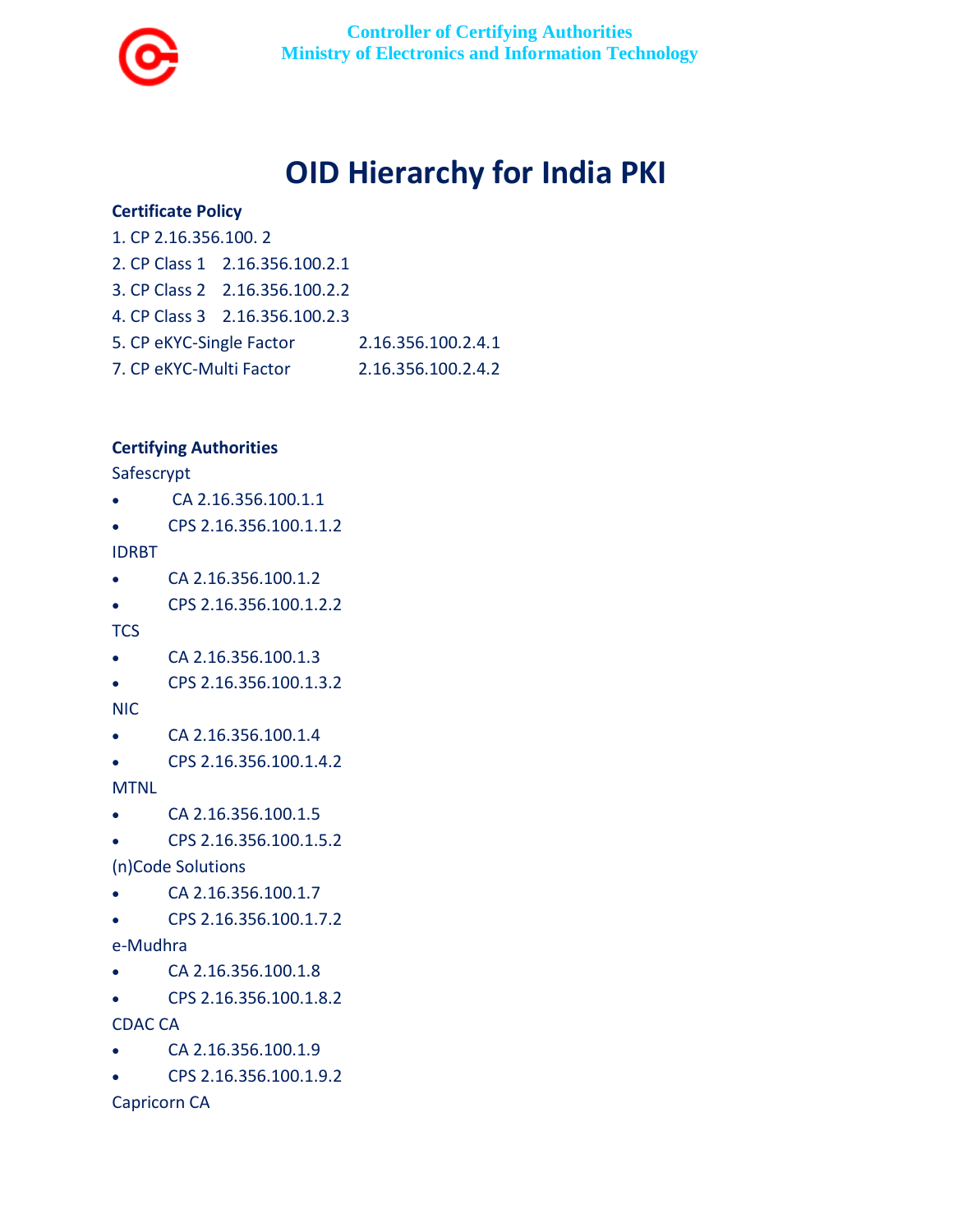

# **OID Hierarchy for India PKI**

## **Certificate Policy**

- 1. CP 2.16.356.100. 2
- 2. CP Class 1 2.16.356.100.2.1
- 3. CP Class 2 2.16.356.100.2.2
- 4. CP Class 3 2.16.356.100.2.3
- 5. CP eKYC-Single Factor 2.16.356.100.2.4.1
- 7. CP eKYC-Multi Factor 2.16.356.100.2.4.2

# **Certifying Authorities**

Safescrypt

- CA 2.16.356.100.1.1
- CPS 2.16.356.100.1.1.2

IDRBT

- CA 2.16.356.100.1.2
- CPS 2.16.356.100.1.2.2

**TCS** 

- CA 2.16.356.100.1.3
- CPS 2.16.356.100.1.3.2

NIC

- CA 2.16.356.100.1.4
- CPS 2.16.356.100.1.4.2

MTNL

- CA 2.16.356.100.1.5
- CPS 2.16.356.100.1.5.2

(n)Code Solutions

- $CA\ 2.16.356.100.1.7$
- CPS 2.16.356.100.1.7.2
- e-Mudhra
- CA 2.16.356.100.1.8
- CPS 2.16.356.100.1.8.2

CDAC CA

- CA 2.16.356.100.1.9
- CPS 2.16.356.100.1.9.2

Capricorn CA